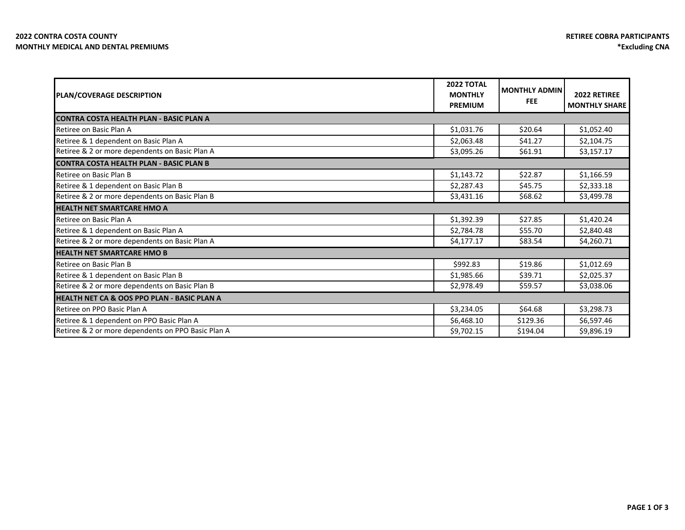| PLAN/COVERAGE DESCRIPTION                              | <b>2022 TOTAL</b><br><b>MONTHLY</b><br><b>PREMIUM</b> | <b>MONTHLY ADMIN</b><br><b>FEE</b> | 2022 RETIREE<br><b>MONTHLY SHARE</b> |  |  |
|--------------------------------------------------------|-------------------------------------------------------|------------------------------------|--------------------------------------|--|--|
| <b>CONTRA COSTA HEALTH PLAN - BASIC PLAN A</b>         |                                                       |                                    |                                      |  |  |
| Retiree on Basic Plan A                                | \$1,031.76                                            | \$20.64                            | \$1,052.40                           |  |  |
| Retiree & 1 dependent on Basic Plan A                  | \$2,063.48                                            | \$41.27                            | \$2,104.75                           |  |  |
| Retiree & 2 or more dependents on Basic Plan A         | \$3,095.26                                            | \$61.91                            | \$3,157.17                           |  |  |
| <b>CONTRA COSTA HEALTH PLAN - BASIC PLAN B</b>         |                                                       |                                    |                                      |  |  |
| Retiree on Basic Plan B                                | \$1,143.72                                            | \$22.87                            | \$1,166.59                           |  |  |
| Retiree & 1 dependent on Basic Plan B                  | \$2,287.43                                            | \$45.75                            | \$2,333.18                           |  |  |
| Retiree & 2 or more dependents on Basic Plan B         | \$3,431.16                                            | \$68.62                            | \$3,499.78                           |  |  |
| <b>HEALTH NET SMARTCARE HMO A</b>                      |                                                       |                                    |                                      |  |  |
| Retiree on Basic Plan A                                | \$1,392.39                                            | \$27.85                            | \$1,420.24                           |  |  |
| Retiree & 1 dependent on Basic Plan A                  | \$2,784.78                                            | \$55.70                            | \$2,840.48                           |  |  |
| Retiree & 2 or more dependents on Basic Plan A         | \$4,177.17                                            | \$83.54                            | \$4,260.71                           |  |  |
| <b>HEALTH NET SMARTCARE HMO B</b>                      |                                                       |                                    |                                      |  |  |
| Retiree on Basic Plan B                                | \$992.83                                              | \$19.86                            | \$1,012.69                           |  |  |
| Retiree & 1 dependent on Basic Plan B                  | \$1,985.66                                            | \$39.71                            | \$2,025.37                           |  |  |
| Retiree & 2 or more dependents on Basic Plan B         | \$2,978.49                                            | \$59.57                            | \$3,038.06                           |  |  |
| <b>HEALTH NET CA &amp; OOS PPO PLAN - BASIC PLAN A</b> |                                                       |                                    |                                      |  |  |
| Retiree on PPO Basic Plan A                            | \$3,234.05                                            | \$64.68                            | \$3,298.73                           |  |  |
| Retiree & 1 dependent on PPO Basic Plan A              | \$6,468.10                                            | \$129.36                           | \$6,597.46                           |  |  |
| Retiree & 2 or more dependents on PPO Basic Plan A     | \$9,702.15                                            | \$194.04                           | \$9,896.19                           |  |  |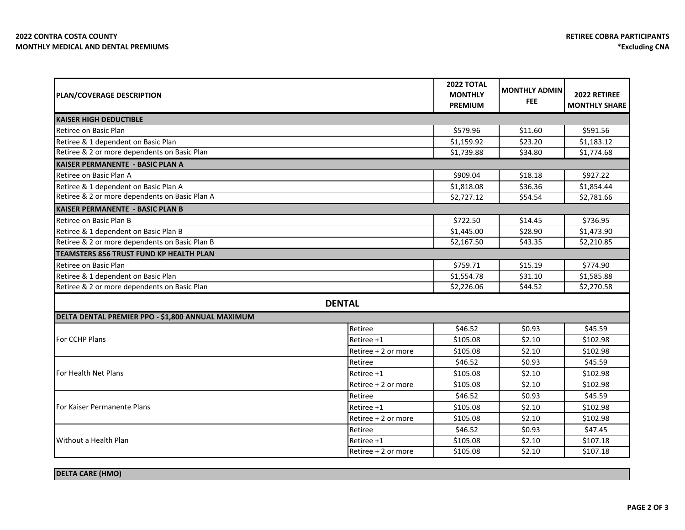| PLAN/COVERAGE DESCRIPTION                         |                     | <b>2022 TOTAL</b><br><b>MONTHLY</b><br><b>PREMIUM</b> | <b>MONTHLY ADMIN</b><br><b>FEE</b> | 2022 RETIREE<br><b>MONTHLY SHARE</b> |
|---------------------------------------------------|---------------------|-------------------------------------------------------|------------------------------------|--------------------------------------|
| KAISER HIGH DEDUCTIBLE                            |                     |                                                       |                                    |                                      |
| Retiree on Basic Plan                             |                     | \$579.96                                              | \$11.60                            | \$591.56                             |
| Retiree & 1 dependent on Basic Plan               |                     | \$1,159.92                                            | \$23.20                            | \$1,183.12                           |
| Retiree & 2 or more dependents on Basic Plan      |                     | \$1,739.88                                            | \$34.80                            | \$1,774.68                           |
| <b>KAISER PERMANENTE - BASIC PLAN A</b>           |                     |                                                       |                                    |                                      |
| Retiree on Basic Plan A                           |                     | \$909.04                                              | \$18.18                            | \$927.22                             |
| Retiree & 1 dependent on Basic Plan A             |                     | \$1,818.08                                            | \$36.36                            | \$1,854.44                           |
| Retiree & 2 or more dependents on Basic Plan A    |                     | \$2,727.12                                            | \$54.54                            | \$2,781.66                           |
| <b>KAISER PERMANENTE - BASIC PLAN B</b>           |                     |                                                       |                                    |                                      |
| Retiree on Basic Plan B                           |                     | \$722.50                                              | \$14.45                            | \$736.95                             |
| Retiree & 1 dependent on Basic Plan B             |                     | \$1,445.00                                            | \$28.90                            | \$1,473.90                           |
| Retiree & 2 or more dependents on Basic Plan B    |                     | \$2,167.50                                            | \$43.35                            | \$2,210.85                           |
| <b>TEAMSTERS 856 TRUST FUND KP HEALTH PLAN</b>    |                     |                                                       |                                    |                                      |
| Retiree on Basic Plan                             |                     | \$759.71                                              | \$15.19                            | \$774.90                             |
| Retiree & 1 dependent on Basic Plan               |                     | \$1,554.78                                            | \$31.10                            | \$1,585.88                           |
| Retiree & 2 or more dependents on Basic Plan      |                     | \$2,226.06                                            | \$44.52                            | \$2,270.58                           |
|                                                   | <b>DENTAL</b>       |                                                       |                                    |                                      |
| DELTA DENTAL PREMIER PPO - \$1,800 ANNUAL MAXIMUM |                     |                                                       |                                    |                                      |
|                                                   | Retiree             | \$46.52                                               | \$0.93                             | \$45.59                              |
| For CCHP Plans                                    | Retiree +1          | \$105.08                                              | \$2.10                             | \$102.98                             |
|                                                   | Retiree + 2 or more | \$105.08                                              | \$2.10                             | \$102.98                             |
|                                                   | Retiree             | \$46.52                                               | \$0.93                             | \$45.59                              |
| For Health Net Plans                              | Retiree +1          | \$105.08                                              | \$2.10                             | \$102.98                             |
|                                                   | Retiree + 2 or more | \$105.08                                              | \$2.10                             | \$102.98                             |
|                                                   | Retiree             | \$46.52                                               | \$0.93                             | \$45.59                              |
| For Kaiser Permanente Plans                       | Retiree +1          | \$105.08                                              | \$2.10                             | \$102.98                             |
|                                                   | Retiree + 2 or more | \$105.08                                              | \$2.10                             | \$102.98                             |
| Without a Health Plan                             | Retiree             | \$46.52                                               | \$0.93                             | \$47.45                              |
|                                                   | Retiree +1          | \$105.08                                              | \$2.10                             | \$107.18                             |
|                                                   | Retiree + 2 or more | \$105.08                                              | \$2.10                             | \$107.18                             |